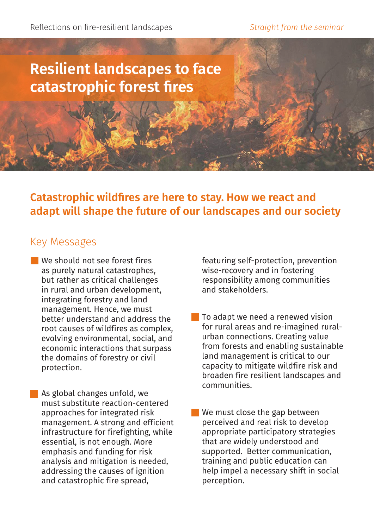Reflections on fire-resilient landscapes *Straight from the seminar* 

# **Resilient landscapes to face catastrophic forest fires**

**Catastrophic wildfires are here to stay. How we react and adapt will shape the future of our landscapes and our society**

#### Key Messages

We should not see forest fires as purely natural catastrophes, but rather as critical challenges in rural and urban development, integrating forestry and land management. Hence, we must better understand and address the root causes of wildfires as complex, evolving environmental, social, and economic interactions that surpass the domains of forestry or civil protection.

As global changes unfold, we must substitute reaction-centered approaches for integrated risk management. A strong and efficient infrastructure for firefighting, while essential, is not enough. More emphasis and funding for risk analysis and mitigation is needed, addressing the causes of ignition and catastrophic fire spread,

featuring self-protection, prevention wise-recovery and in fostering responsibility among communities and stakeholders.

**To adapt we need a renewed vision** for rural areas and re-imagined ruralurban connections. Creating value from forests and enabling sustainable land management is critical to our capacity to mitigate wildfire risk and broaden fire resilient landscapes and communities.

We must close the gap between perceived and real risk to develop appropriate participatory strategies that are widely understood and supported. Better communication, training and public education can help impel a necessary shift in social perception.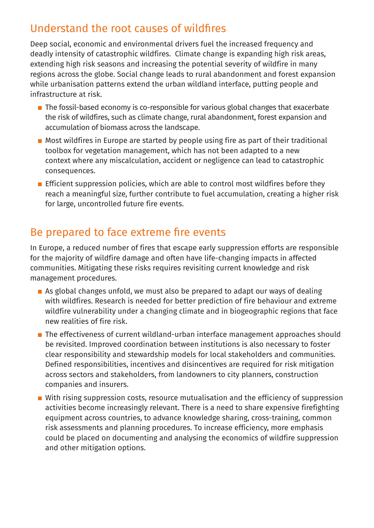### Understand the root causes of wildfires

Deep social, economic and environmental drivers fuel the increased frequency and deadly intensity of catastrophic wildfires. Climate change is expanding high risk areas, extending high risk seasons and increasing the potential severity of wildfire in many regions across the globe. Social change leads to rural abandonment and forest expansion while urbanisation patterns extend the urban wildland interface, putting people and infrastructure at risk.

- $\blacksquare$  The fossil-based economy is co-responsible for various global changes that exacerbate the risk of wildfires, such as climate change, rural abandonment, forest expansion and accumulation of biomass across the landscape.
- Most wildfires in Europe are started by people using fire as part of their traditional toolbox for vegetation management, which has not been adapted to a new context where any miscalculation, accident or negligence can lead to catastrophic consequences.
- **Efficient suppression policies, which are able to control most wildfires before they** reach a meaningful size, further contribute to fuel accumulation, creating a higher risk for large, uncontrolled future fire events.

#### Be prepared to face extreme fire events

In Europe, a reduced number of fires that escape early suppression efforts are responsible for the majority of wildfire damage and often have life-changing impacts in affected communities. Mitigating these risks requires revisiting current knowledge and risk management procedures.

- $\blacksquare$  As global changes unfold, we must also be prepared to adapt our ways of dealing with wildfires. Research is needed for better prediction of fire behaviour and extreme wildfire vulnerability under a changing climate and in biogeographic regions that face new realities of fire risk.
- The effectiveness of current wildland-urban interface management approaches should be revisited. Improved coordination between institutions is also necessary to foster clear responsibility and stewardship models for local stakeholders and communities. Defined responsibilities, incentives and disincentives are required for risk mitigation across sectors and stakeholders, from landowners to city planners, construction companies and insurers.
- $\blacksquare$  With rising suppression costs, resource mutualisation and the efficiency of suppression activities become increasingly relevant. There is a need to share expensive firefighting equipment across countries, to advance knowledge sharing, cross-training, common risk assessments and planning procedures. To increase efficiency, more emphasis could be placed on documenting and analysing the economics of wildfire suppression and other mitigation options.